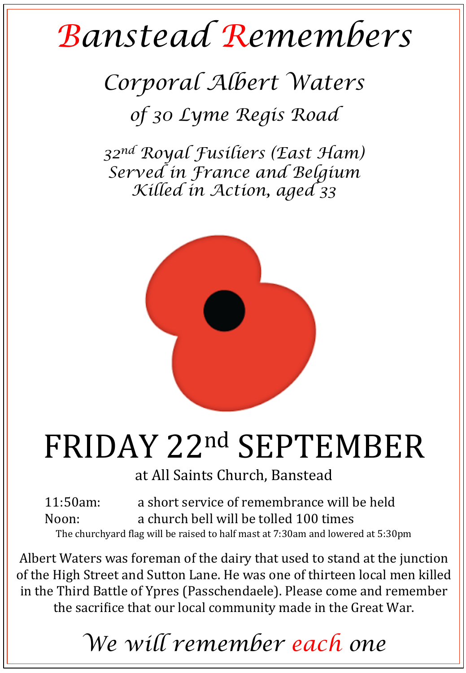## *Banstead Remembers*

*Corporal Albert Waters of 30 Lyme Regis Road*

*32nd Royal Fusiliers (East Ham) Served in France and Belgium Killed in Action, aged 33* 



## FRIDAY 22nd SEPTEMBER

at All Saints Church, Banstead

11:50am: a short service of remembrance will be held Noon: a church bell will be tolled 100 times The churchyard flag will be raised to half mast at 7:30am and lowered at 5:30pm

Albert Waters was foreman of the dairy that used to stand at the junction of the High Street and Sutton Lane. He was one of thirteen local men killed in the Third Battle of Ypres (Passchendaele). Please come and remember the sacrifice that our local community made in the Great War.

*We will remember each one*